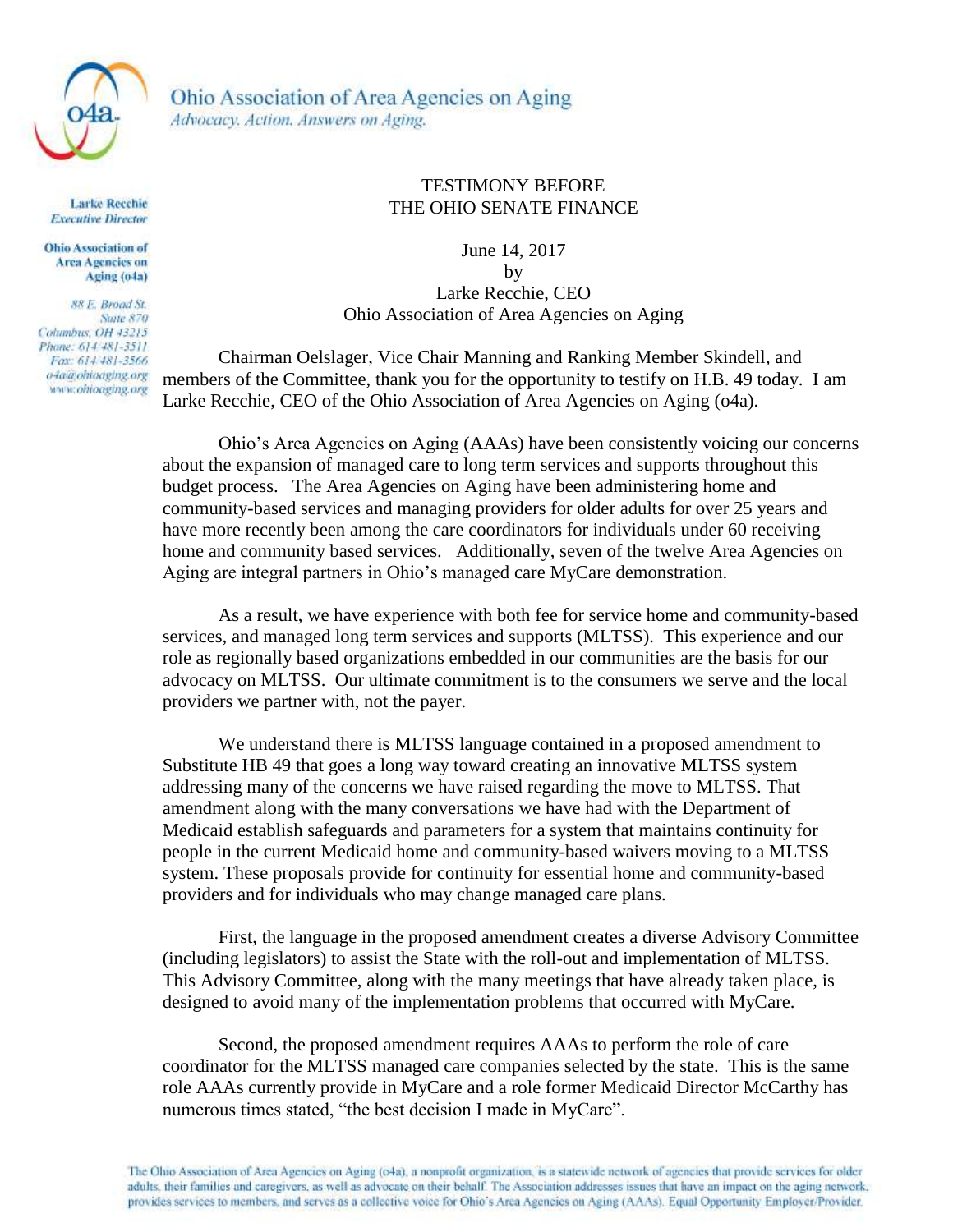

Ohio Association of Area Agencies on Aging Advocacy. Action. Answers on Aging.

**Larke Recchie Executive Director** 

**Ohio Association of Area Agencies on** Aging (o4a)

88 E. Broad St. **Suite 870** Columbus, OH 43215 Phone: 614/481-3511 Fax: 614/481-3566 o4a@ohioaging.org www.ohioaging.org

## TESTIMONY BEFORE THE OHIO SENATE FINANCE

June 14, 2017 by Larke Recchie, CEO Ohio Association of Area Agencies on Aging

Chairman Oelslager, Vice Chair Manning and Ranking Member Skindell, and members of the Committee, thank you for the opportunity to testify on H.B. 49 today. I am Larke Recchie, CEO of the Ohio Association of Area Agencies on Aging (o4a).

Ohio's Area Agencies on Aging (AAAs) have been consistently voicing our concerns about the expansion of managed care to long term services and supports throughout this budget process. The Area Agencies on Aging have been administering home and community-based services and managing providers for older adults for over 25 years and have more recently been among the care coordinators for individuals under 60 receiving home and community based services. Additionally, seven of the twelve Area Agencies on Aging are integral partners in Ohio's managed care MyCare demonstration.

As a result, we have experience with both fee for service home and community-based services, and managed long term services and supports (MLTSS). This experience and our role as regionally based organizations embedded in our communities are the basis for our advocacy on MLTSS. Our ultimate commitment is to the consumers we serve and the local providers we partner with, not the payer.

We understand there is MLTSS language contained in a proposed amendment to Substitute HB 49 that goes a long way toward creating an innovative MLTSS system addressing many of the concerns we have raised regarding the move to MLTSS. That amendment along with the many conversations we have had with the Department of Medicaid establish safeguards and parameters for a system that maintains continuity for people in the current Medicaid home and community-based waivers moving to a MLTSS system. These proposals provide for continuity for essential home and community-based providers and for individuals who may change managed care plans.

First, the language in the proposed amendment creates a diverse Advisory Committee (including legislators) to assist the State with the roll-out and implementation of MLTSS. This Advisory Committee, along with the many meetings that have already taken place, is designed to avoid many of the implementation problems that occurred with MyCare.

Second, the proposed amendment requires AAAs to perform the role of care coordinator for the MLTSS managed care companies selected by the state. This is the same role AAAs currently provide in MyCare and a role former Medicaid Director McCarthy has numerous times stated, "the best decision I made in MyCare".